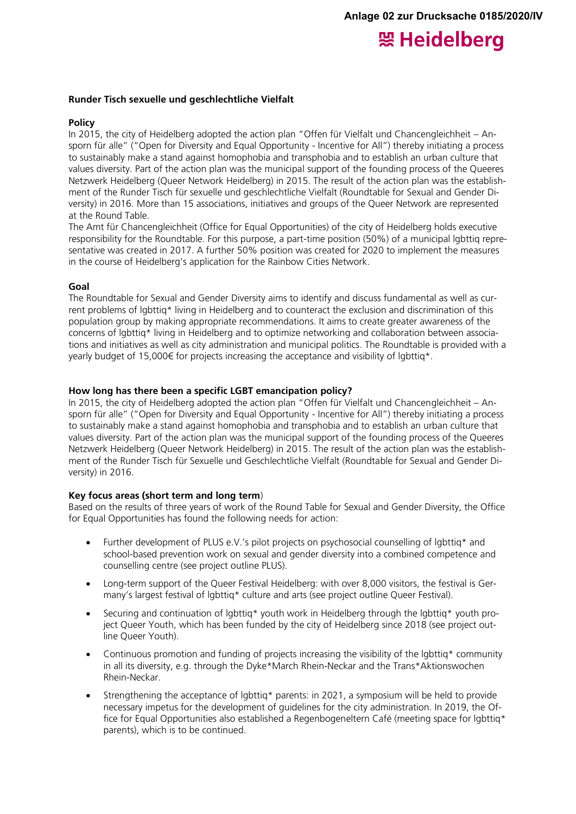# 照 Heidelberg

### **Runder Tisch sexuelle und geschlechtliche Vielfalt**

### **Policy**

In 2015, the city of Heidelberg adopted the action plan "Offen für Vielfalt und Chancengleichheit – Ansporn für alle" ("Open for Diversity and Equal Opportunity - Incentive for All") thereby initiating a process to sustainably make a stand against homophobia and transphobia and to establish an urban culture that values diversity. Part of the action plan was the municipal support of the founding process of the Queeres Netzwerk Heidelberg (Queer Network Heidelberg) in 2015. The result of the action plan was the establishment of the Runder Tisch für sexuelle und geschlechtliche Vielfalt (Roundtable for Sexual and Gender Diversity) in 2016. More than 15 associations, initiatives and groups of the Queer Network are represented at the Round Table.

The Amt für Chancengleichheit (Office for Equal Opportunities) of the city of Heidelberg holds executive responsibility for the Roundtable. For this purpose, a part-time position (50%) of a municipal lgbttiq representative was created in 2017. A further 50% position was created for 2020 to implement the measures in the course of Heidelberg's application for the Rainbow Cities Network.

#### **Goal**

The Roundtable for Sexual and Gender Diversity aims to identify and discuss fundamental as well as current problems of lgbttiq\* living in Heidelberg and to counteract the exclusion and discrimination of this population group by making appropriate recommendations. It aims to create greater awareness of the concerns of lgbttiq\* living in Heidelberg and to optimize networking and collaboration between associations and initiatives as well as city administration and municipal politics. The Roundtable is provided with a yearly budget of 15,000€ for projects increasing the acceptance and visibility of lgbttig\*.

## **How long has there been a specific LGBT emancipation policy?**

In 2015, the city of Heidelberg adopted the action plan "Offen für Vielfalt und Chancengleichheit – Ansporn für alle" ("Open for Diversity and Equal Opportunity - Incentive for All") thereby initiating a process to sustainably make a stand against homophobia and transphobia and to establish an urban culture that values diversity. Part of the action plan was the municipal support of the founding process of the Queeres Netzwerk Heidelberg (Queer Network Heidelberg) in 2015. The result of the action plan was the establishment of the Runder Tisch für Sexuelle und Geschlechtliche Vielfalt (Roundtable for Sexual and Gender Diversity) in 2016.

#### **Key focus areas (short term and long term**)

Based on the results of three years of work of the Round Table for Sexual and Gender Diversity, the Office for Equal Opportunities has found the following needs for action:

- Further development of PLUS e.V.'s pilot projects on psychosocial counselling of lgbttig\* and school-based prevention work on sexual and gender diversity into a combined competence and counselling centre (see project outline PLUS).
- Long-term support of the Queer Festival Heidelberg: with over 8,000 visitors, the festival is Germany's largest festival of lgbttiq\* culture and arts (see project outline Queer Festival).
- Securing and continuation of lgbttiq\* youth work in Heidelberg through the lgbttiq\* youth project Queer Youth, which has been funded by the city of Heidelberg since 2018 (see project outline Queer Youth).
- Continuous promotion and funding of projects increasing the visibility of the lgbttiq\* community in all its diversity, e.g. through the Dyke\*March Rhein-Neckar and the Trans\*Aktionswochen Rhein-Neckar.
- Strengthening the acceptance of lgbttiq\* parents: in 2021, a symposium will be held to provide necessary impetus for the development of guidelines for the city administration. In 2019, the Office for Equal Opportunities also established a Regenbogeneltern Café (meeting space for lgbttig\* parents), which is to be continued.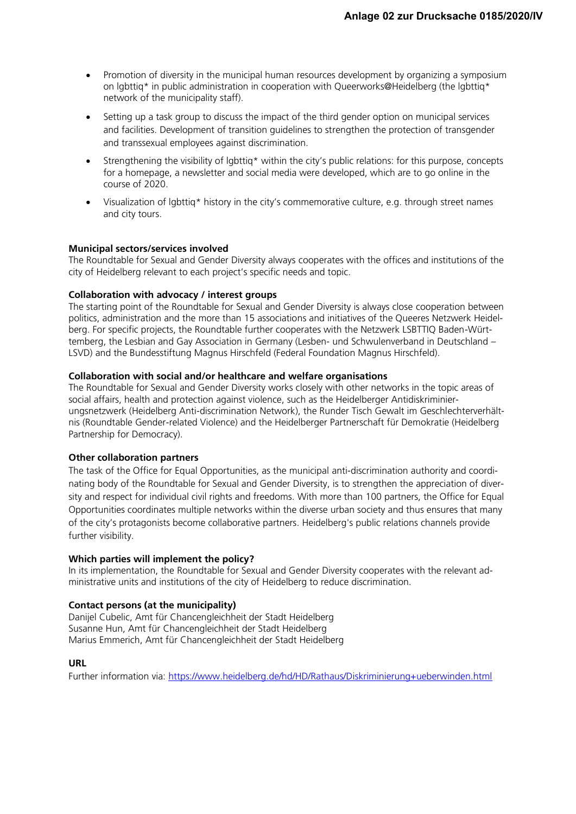- Promotion of diversity in the municipal human resources development by organizing a symposium on lgbttiq\* in public administration in cooperation with Queerworks@Heidelberg (the lgbttiq\* network of the municipality staff).
- Setting up a task group to discuss the impact of the third gender option on municipal services and facilities. Development of transition guidelines to strengthen the protection of transgender and transsexual employees against discrimination.
- Strengthening the visibility of lgbttiq\* within the city's public relations: for this purpose, concepts for a homepage, a newsletter and social media were developed, which are to go online in the course of 2020.
- Visualization of lgbttiq\* history in the city's commemorative culture, e.g. through street names and city tours.

# **Municipal sectors/services involved**

The Roundtable for Sexual and Gender Diversity always cooperates with the offices and institutions of the city of Heidelberg relevant to each project's specific needs and topic.

# **Collaboration with advocacy / interest groups**

The starting point of the Roundtable for Sexual and Gender Diversity is always close cooperation between politics, administration and the more than 15 associations and initiatives of the Queeres Netzwerk Heidelberg. For specific projects, the Roundtable further cooperates with the Netzwerk LSBTTIQ Baden-Württemberg, the Lesbian and Gay Association in Germany (Lesben- und Schwulenverband in Deutschland – LSVD) and the Bundesstiftung Magnus Hirschfeld (Federal Foundation Magnus Hirschfeld).

# **Collaboration with social and/or healthcare and welfare organisations**

The Roundtable for Sexual and Gender Diversity works closely with other networks in the topic areas of social affairs, health and protection against violence, such as the Heidelberger Antidiskriminierungsnetzwerk (Heidelberg Anti-discrimination Network), the Runder Tisch Gewalt im Geschlechterverhältnis (Roundtable Gender-related Violence) and the Heidelberger Partnerschaft für Demokratie (Heidelberg Partnership for Democracy).

# **Other collaboration partners**

The task of the Office for Equal Opportunities, as the municipal anti-discrimination authority and coordinating body of the Roundtable for Sexual and Gender Diversity, is to strengthen the appreciation of diversity and respect for individual civil rights and freedoms. With more than 100 partners, the Office for Equal Opportunities coordinates multiple networks within the diverse urban society and thus ensures that many of the city's protagonists become collaborative partners. Heidelberg's public relations channels provide further visibility.

# **Which parties will implement the policy?**

In its implementation, the Roundtable for Sexual and Gender Diversity cooperates with the relevant administrative units and institutions of the city of Heidelberg to reduce discrimination.

# **Contact persons (at the municipality)**

Danijel Cubelic, Amt für Chancengleichheit der Stadt Heidelberg Susanne Hun, Amt für Chancengleichheit der Stadt Heidelberg Marius Emmerich, Amt für Chancengleichheit der Stadt Heidelberg

# **URL**

Further information via:<https://www.heidelberg.de/hd/HD/Rathaus/Diskriminierung+ueberwinden.html>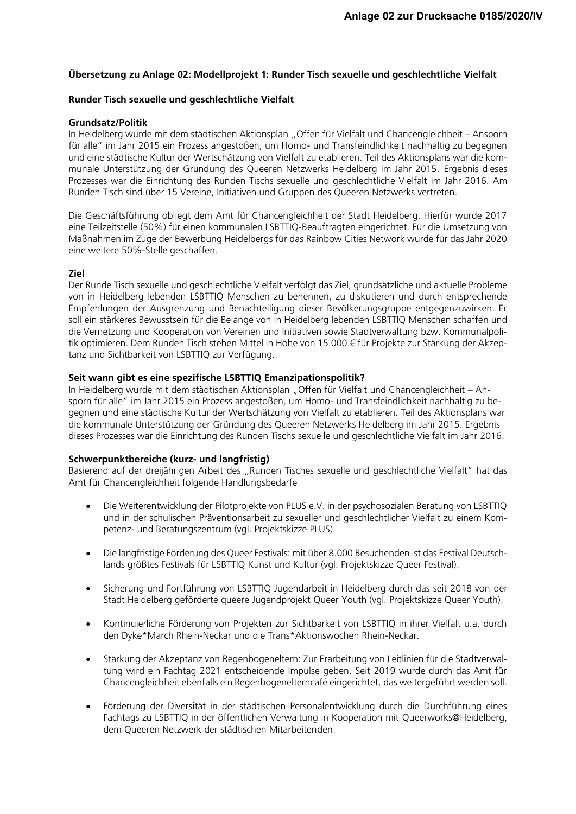## **Übersetzung zu Anlage 02: Modellprojekt 1: Runder Tisch sexuelle und geschlechtliche Vielfalt**

#### **Runder Tisch sexuelle und geschlechtliche Vielfalt**

#### **Grundsatz/Politik**

In Heidelberg wurde mit dem städtischen Aktionsplan "Offen für Vielfalt und Chancengleichheit – Ansporn für alle" im Jahr 2015 ein Prozess angestoßen, um Homo- und Transfeindlichkeit nachhaltig zu begegnen und eine städtische Kultur der Wertschätzung von Vielfalt zu etablieren. Teil des Aktionsplans war die kommunale Unterstützung der Gründung des Queeren Netzwerks Heidelberg im Jahr 2015. Ergebnis dieses Prozesses war die Einrichtung des Runden Tischs sexuelle und geschlechtliche Vielfalt im Jahr 2016. Am Runden Tisch sind über 15 Vereine, Initiativen und Gruppen des Queeren Netzwerks vertreten.

Die Geschäftsführung obliegt dem Amt für Chancengleichheit der Stadt Heidelberg. Hierfür wurde 2017 eine Teilzeitstelle (50%) für einen kommunalen LSBTTIQ-Beauftragten eingerichtet. Für die Umsetzung von Maßnahmen im Zuge der Bewerbung Heidelbergs für das Rainbow Cities Network wurde für das Jahr 2020 eine weitere 50%-Stelle geschaffen.

#### **Ziel**

Der Runde Tisch sexuelle und geschlechtliche Vielfalt verfolgt das Ziel, grundsätzliche und aktuelle Probleme von in Heidelberg lebenden LSBTTIQ Menschen zu benennen, zu diskutieren und durch entsprechende Empfehlungen der Ausgrenzung und Benachteiligung dieser Bevölkerungsgruppe entgegenzuwirken. Er soll ein stärkeres Bewusstsein für die Belange von in Heidelberg lebenden LSBTTIQ Menschen schaffen und die Vernetzung und Kooperation von Vereinen und Initiativen sowie Stadtverwaltung bzw. Kommunalpolitik optimieren. Dem Runden Tisch stehen Mittel in Höhe von 15.000 € für Projekte zur Stärkung der Akzeptanz und Sichtbarkeit von LSBTTIQ zur Verfügung.

## **Seit wann gibt es eine spezifische LSBTTIQ Emanzipationspolitik?**

In Heidelberg wurde mit dem städtischen Aktionsplan "Offen für Vielfalt und Chancengleichheit – Ansporn für alle" im Jahr 2015 ein Prozess angestoßen, um Homo- und Transfeindlichkeit nachhaltig zu begegnen und eine städtische Kultur der Wertschätzung von Vielfalt zu etablieren. Teil des Aktionsplans war die kommunale Unterstützung der Gründung des Queeren Netzwerks Heidelberg im Jahr 2015. Ergebnis dieses Prozesses war die Einrichtung des Runden Tischs sexuelle und geschlechtliche Vielfalt im Jahr 2016.

#### **Schwerpunktbereiche (kurz- und langfristig)**

Basierend auf der dreijährigen Arbeit des "Runden Tisches sexuelle und geschlechtliche Vielfalt" hat das Amt für Chancengleichheit folgende Handlungsbedarfe

- Die Weiterentwicklung der Pilotprojekte von PLUS e.V. in der psychosozialen Beratung von LSBTTIQ und in der schulischen Präventionsarbeit zu sexueller und geschlechtlicher Vielfalt zu einem Kompetenz- und Beratungszentrum (vgl. Projektskizze PLUS).
- Die langfristige Förderung des Queer Festivals: mit über 8.000 Besuchenden ist das Festival Deutschlands größtes Festivals für LSBTTIQ Kunst und Kultur (vgl. Projektskizze Queer Festival).
- Sicherung und Fortführung von LSBTTIQ Jugendarbeit in Heidelberg durch das seit 2018 von der Stadt Heidelberg geförderte queere Jugendprojekt Queer Youth (vgl. Projektskizze Queer Youth).
- Kontinuierliche Förderung von Projekten zur Sichtbarkeit von LSBTTIQ in ihrer Vielfalt u.a. durch den Dyke\*March Rhein-Neckar und die Trans\*Aktionswochen Rhein-Neckar.
- Stärkung der Akzeptanz von Regenbogeneltern: Zur Erarbeitung von Leitlinien für die Stadtverwaltung wird ein Fachtag 2021 entscheidende Impulse geben. Seit 2019 wurde durch das Amt für Chancengleichheit ebenfalls ein Regenbogenelterncafé eingerichtet, das weitergeführt werden soll.
- Förderung der Diversität in der städtischen Personalentwicklung durch die Durchführung eines Fachtags zu LSBTTIQ in der öffentlichen Verwaltung in Kooperation mit Queerworks@Heidelberg, dem Queeren Netzwerk der städtischen Mitarbeitenden.